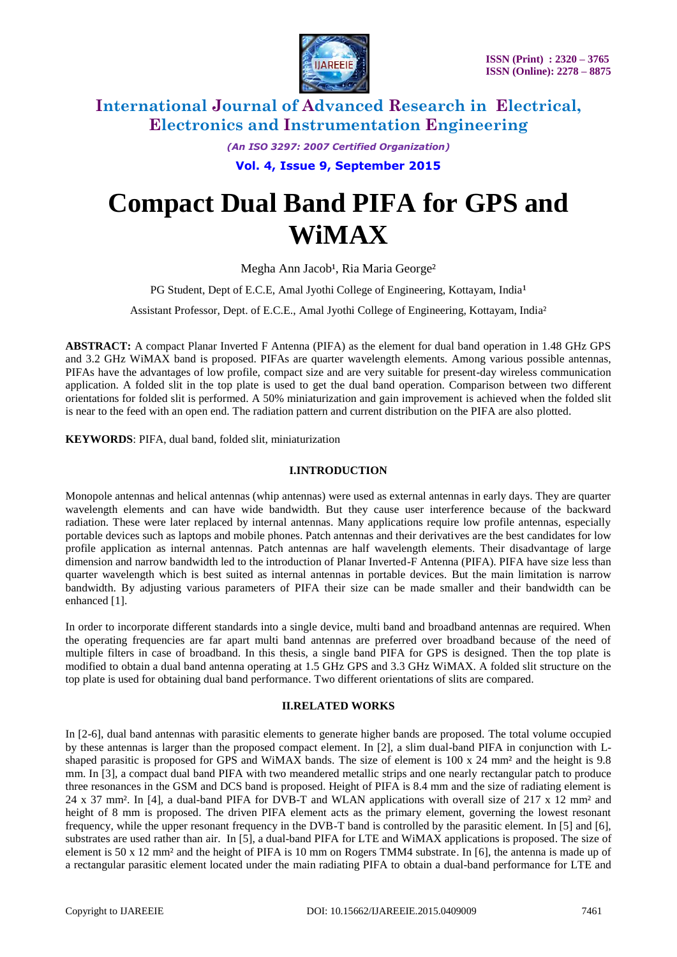

*(An ISO 3297: 2007 Certified Organization)*

**Vol. 4, Issue 9, September 2015**

# **Compact Dual Band PIFA for GPS and WiMAX**

Megha Ann Jacob<sup>1</sup>, Ria Maria George<sup>2</sup>

PG Student, Dept of E.C.E, Amal Jyothi College of Engineering, Kottayam, India<sup>1</sup>

Assistant Professor, Dept. of E.C.E., Amal Jyothi College of Engineering, Kottayam, India²

**ABSTRACT:** A compact Planar Inverted F Antenna (PIFA) as the element for dual band operation in 1.48 GHz GPS and 3.2 GHz WiMAX band is proposed. PIFAs are quarter wavelength elements. Among various possible antennas, PIFAs have the advantages of low profile, compact size and are very suitable for present-day wireless communication application. A folded slit in the top plate is used to get the dual band operation. Comparison between two different orientations for folded slit is performed. A 50% miniaturization and gain improvement is achieved when the folded slit is near to the feed with an open end. The radiation pattern and current distribution on the PIFA are also plotted.

**KEYWORDS**: PIFA, dual band, folded slit, miniaturization

#### **I.INTRODUCTION**

Monopole antennas and helical antennas (whip antennas) were used as external antennas in early days. They are quarter wavelength elements and can have wide bandwidth. But they cause user interference because of the backward radiation. These were later replaced by internal antennas. Many applications require low profile antennas, especially portable devices such as laptops and mobile phones. Patch antennas and their derivatives are the best candidates for low profile application as internal antennas. Patch antennas are half wavelength elements. Their disadvantage of large dimension and narrow bandwidth led to the introduction of Planar Inverted-F Antenna (PIFA). PIFA have size less than quarter wavelength which is best suited as internal antennas in portable devices. But the main limitation is narrow bandwidth. By adjusting various parameters of PIFA their size can be made smaller and their bandwidth can be enhanced [1].

In order to incorporate different standards into a single device, multi band and broadband antennas are required. When the operating frequencies are far apart multi band antennas are preferred over broadband because of the need of multiple filters in case of broadband. In this thesis, a single band PIFA for GPS is designed. Then the top plate is modified to obtain a dual band antenna operating at 1.5 GHz GPS and 3.3 GHz WiMAX. A folded slit structure on the top plate is used for obtaining dual band performance. Two different orientations of slits are compared.

#### **II.RELATED WORKS**

In [2-6], dual band antennas with parasitic elements to generate higher bands are proposed. The total volume occupied by these antennas is larger than the proposed compact element. In [2], a slim dual-band PIFA in conjunction with Lshaped parasitic is proposed for GPS and WiMAX bands. The size of element is 100 x 24 mm<sup>2</sup> and the height is 9.8 mm. In [3], a compact dual band PIFA with two meandered metallic strips and one nearly rectangular patch to produce three resonances in the GSM and DCS band is proposed. Height of PIFA is 8.4 mm and the size of radiating element is 24 x 37 mm². In [4], a dual-band PIFA for DVB-T and WLAN applications with overall size of 217 x 12 mm² and height of 8 mm is proposed. The driven PIFA element acts as the primary element, governing the lowest resonant frequency, while the upper resonant frequency in the DVB-T band is controlled by the parasitic element. In [5] and [6], substrates are used rather than air. In [5], a dual-band PIFA for LTE and WiMAX applications is proposed. The size of element is 50 x 12 mm² and the height of PIFA is 10 mm on Rogers TMM4 substrate. In [6], the antenna is made up of a rectangular parasitic element located under the main radiating PIFA to obtain a dual-band performance for LTE and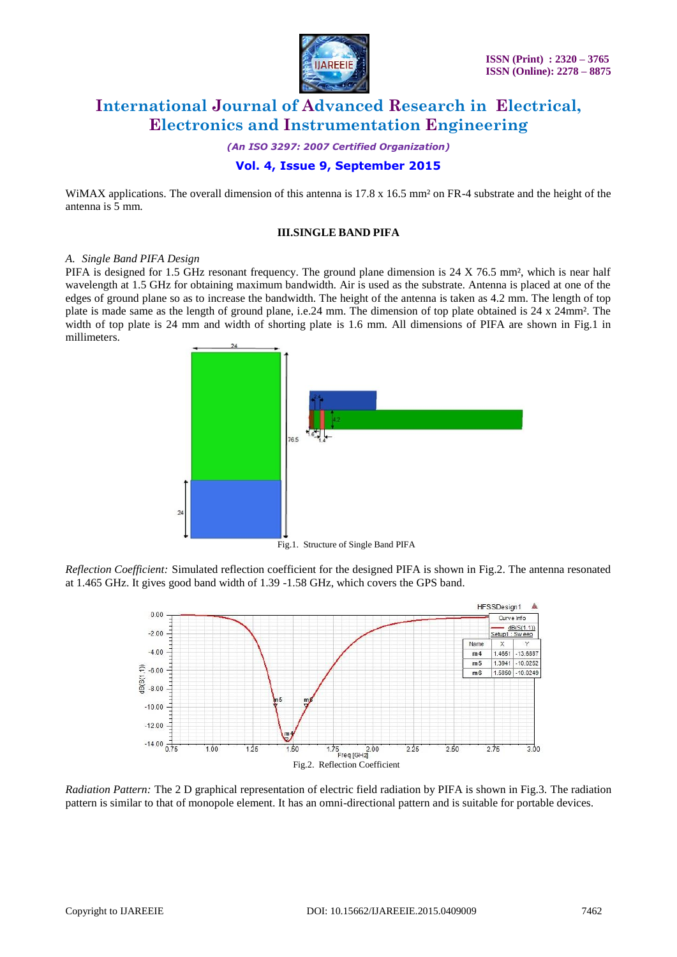

*(An ISO 3297: 2007 Certified Organization)*

### **Vol. 4, Issue 9, September 2015**

WiMAX applications. The overall dimension of this antenna is  $17.8 \times 16.5$  mm<sup>2</sup> on FR-4 substrate and the height of the antenna is 5 mm.

#### **III.SINGLE BAND PIFA**

#### *A. Single Band PIFA Design*

PIFA is designed for 1.5 GHz resonant frequency. The ground plane dimension is 24 X 76.5 mm<sup>2</sup>, which is near half wavelength at 1.5 GHz for obtaining maximum bandwidth. Air is used as the substrate. Antenna is placed at one of the edges of ground plane so as to increase the bandwidth. The height of the antenna is taken as 4.2 mm. The length of top plate is made same as the length of ground plane, i.e.24 mm. The dimension of top plate obtained is 24 x 24mm². The width of top plate is 24 mm and width of shorting plate is 1.6 mm. All dimensions of PIFA are shown in Fig.1 in millimeters.



*Reflection Coefficient:* Simulated reflection coefficient for the designed PIFA is shown in Fig.2. The antenna resonated at 1.465 GHz. It gives good band width of 1.39 -1.58 GHz, which covers the GPS band.



*Radiation Pattern:* The 2 D graphical representation of electric field radiation by PIFA is shown in Fig.3. The radiation pattern is similar to that of monopole element. It has an omni-directional pattern and is suitable for portable devices.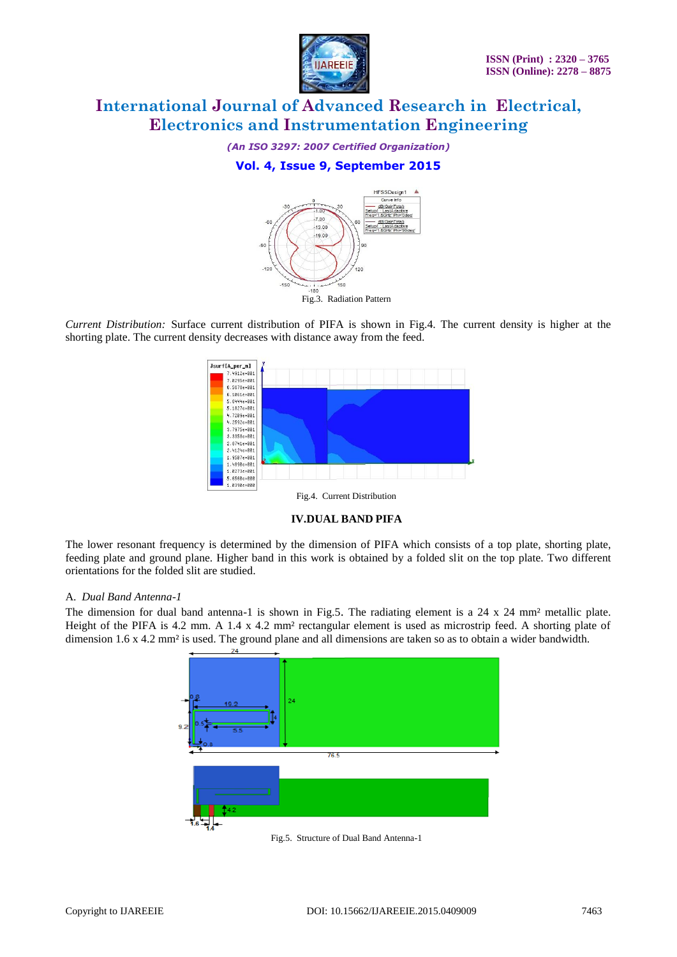

*(An ISO 3297: 2007 Certified Organization)*

### **Vol. 4, Issue 9, September 2015**



*Current Distribution:* Surface current distribution of PIFA is shown in Fig.4. The current density is higher at the shorting plate. The current density decreases with distance away from the feed.





The lower resonant frequency is determined by the dimension of PIFA which consists of a top plate, shorting plate, feeding plate and ground plane. Higher band in this work is obtained by a folded slit on the top plate. Two different orientations for the folded slit are studied.

#### A. *Dual Band Antenna-1*

The dimension for dual band antenna-1 is shown in Fig.5. The radiating element is a 24 x 24 mm² metallic plate. Height of the PIFA is 4.2 mm. A 1.4 x 4.2 mm² rectangular element is used as microstrip feed. A shorting plate of dimension 1.6 x 4.2 mm² is used. The ground plane and all dimensions are taken so as to obtain a wider bandwidth.



Fig.5. Structure of Dual Band Antenna-1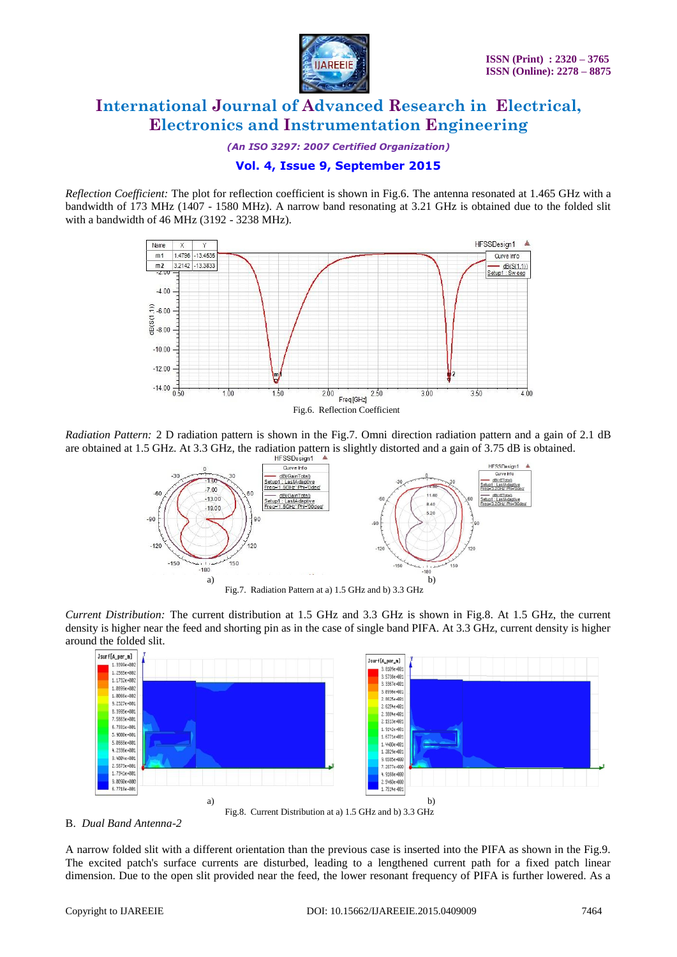

*(An ISO 3297: 2007 Certified Organization)*

### **Vol. 4, Issue 9, September 2015**

*Reflection Coefficient:* The plot for reflection coefficient is shown in Fig.6. The antenna resonated at 1.465 GHz with a bandwidth of 173 MHz (1407 - 1580 MHz). A narrow band resonating at 3.21 GHz is obtained due to the folded slit with a bandwidth of 46 MHz (3192 - 3238 MHz).



*Radiation Pattern:* 2 D radiation pattern is shown in the Fig.7. Omni direction radiation pattern and a gain of 2.1 dB are obtained at 1.5 GHz. At 3.3 GHz, the radiation pattern is slightly distorted and a gain of 3.75 dB is obtained.



*Current Distribution:* The current distribution at 1.5 GHz and 3.3 GHz is shown in Fig.8. At 1.5 GHz, the current density is higher near the feed and shorting pin as in the case of single band PIFA. At 3.3 GHz, current density is higher around the folded slit.



B. *Dual Band Antenna-2*

A narrow folded slit with a different orientation than the previous case is inserted into the PIFA as shown in the Fig.9. The excited patch's surface currents are disturbed, leading to a lengthened current path for a fixed patch linear dimension. Due to the open slit provided near the feed, the lower resonant frequency of PIFA is further lowered. As a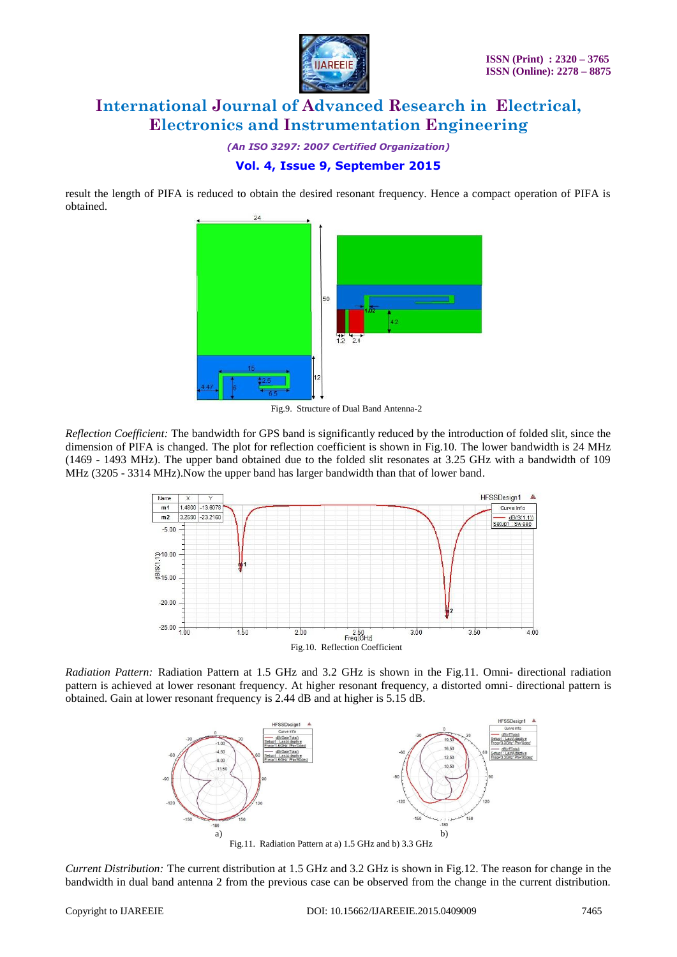

*(An ISO 3297: 2007 Certified Organization)*

### **Vol. 4, Issue 9, September 2015**

result the length of PIFA is reduced to obtain the desired resonant frequency. Hence a compact operation of PIFA is obtained.



Fig.9. Structure of Dual Band Antenna-2

*Reflection Coefficient:* The bandwidth for GPS band is significantly reduced by the introduction of folded slit, since the dimension of PIFA is changed. The plot for reflection coefficient is shown in Fig.10. The lower bandwidth is 24 MHz (1469 - 1493 MHz). The upper band obtained due to the folded slit resonates at 3.25 GHz with a bandwidth of 109 MHz (3205 - 3314 MHz).Now the upper band has larger bandwidth than that of lower band.



*Radiation Pattern:* Radiation Pattern at 1.5 GHz and 3.2 GHz is shown in the Fig.11. Omni- directional radiation pattern is achieved at lower resonant frequency. At higher resonant frequency, a distorted omni- directional pattern is obtained. Gain at lower resonant frequency is 2.44 dB and at higher is 5.15 dB.



*Current Distribution:* The current distribution at 1.5 GHz and 3.2 GHz is shown in Fig.12. The reason for change in the bandwidth in dual band antenna 2 from the previous case can be observed from the change in the current distribution.